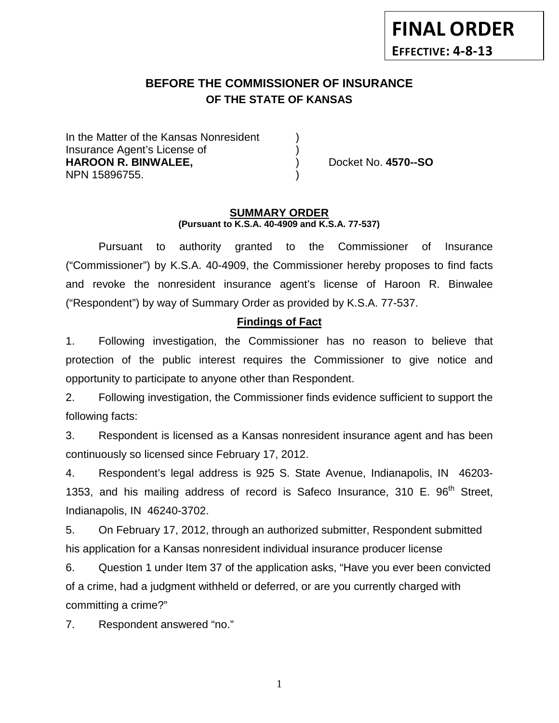# **BEFORE THE COMMISSIONER OF INSURANCE OF THE STATE OF KANSAS**

In the Matter of the Kansas Nonresident Insurance Agent's License of ) **HAROON R. BINWALEE,** ) Docket No. **4570--SO** NPN 15896755. )

#### **SUMMARY ORDER (Pursuant to K.S.A. 40-4909 and K.S.A. 77-537)**

Pursuant to authority granted to the Commissioner of Insurance ("Commissioner") by K.S.A. 40-4909, the Commissioner hereby proposes to find facts and revoke the nonresident insurance agent's license of Haroon R. Binwalee ("Respondent") by way of Summary Order as provided by K.S.A. 77-537.

# **Findings of Fact**

1. Following investigation, the Commissioner has no reason to believe that protection of the public interest requires the Commissioner to give notice and opportunity to participate to anyone other than Respondent.

2. Following investigation, the Commissioner finds evidence sufficient to support the following facts:

3. Respondent is licensed as a Kansas nonresident insurance agent and has been continuously so licensed since February 17, 2012.

4. Respondent's legal address is 925 S. State Avenue, Indianapolis, IN 46203- 1353, and his mailing address of record is Safeco Insurance, 310 E.  $96<sup>th</sup>$  Street, Indianapolis, IN 46240-3702.

5. On February 17, 2012, through an authorized submitter, Respondent submitted his application for a Kansas nonresident individual insurance producer license

6. Question 1 under Item 37 of the application asks, "Have you ever been convicted of a crime, had a judgment withheld or deferred, or are you currently charged with committing a crime?"

7. Respondent answered "no."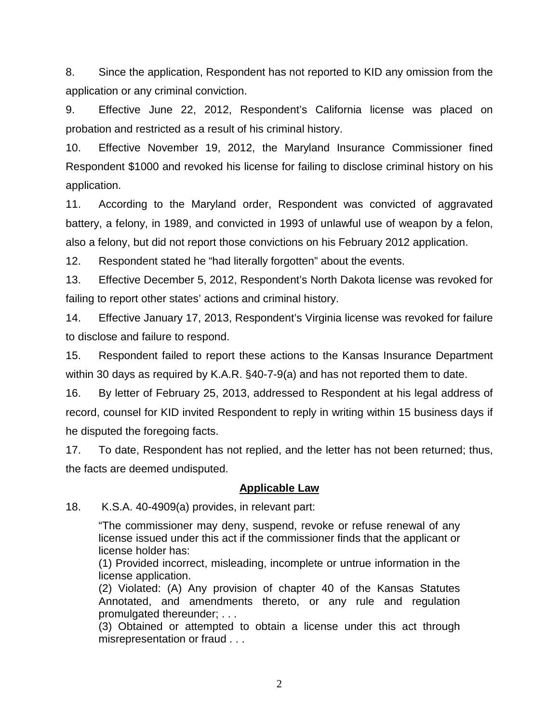8. Since the application, Respondent has not reported to KID any omission from the application or any criminal conviction.

9. Effective June 22, 2012, Respondent's California license was placed on probation and restricted as a result of his criminal history.

10. Effective November 19, 2012, the Maryland Insurance Commissioner fined Respondent \$1000 and revoked his license for failing to disclose criminal history on his application.

11. According to the Maryland order, Respondent was convicted of aggravated battery, a felony, in 1989, and convicted in 1993 of unlawful use of weapon by a felon, also a felony, but did not report those convictions on his February 2012 application.

12. Respondent stated he "had literally forgotten" about the events.

13. Effective December 5, 2012, Respondent's North Dakota license was revoked for failing to report other states' actions and criminal history.

14. Effective January 17, 2013, Respondent's Virginia license was revoked for failure to disclose and failure to respond.

15. Respondent failed to report these actions to the Kansas Insurance Department within 30 days as required by K.A.R. §40-7-9(a) and has not reported them to date.

16. By letter of February 25, 2013, addressed to Respondent at his legal address of record, counsel for KID invited Respondent to reply in writing within 15 business days if he disputed the foregoing facts.

17. To date, Respondent has not replied, and the letter has not been returned; thus, the facts are deemed undisputed.

## **Applicable Law**

18. K.S.A. 40-4909(a) provides, in relevant part:

"The commissioner may deny, suspend, revoke or refuse renewal of any license issued under this act if the commissioner finds that the applicant or license holder has:

(1) Provided incorrect, misleading, incomplete or untrue information in the license application.

(2) Violated: (A) Any provision of chapter 40 of the Kansas Statutes Annotated, and amendments thereto, or any rule and regulation promulgated thereunder; . . .

(3) Obtained or attempted to obtain a license under this act through misrepresentation or fraud . . .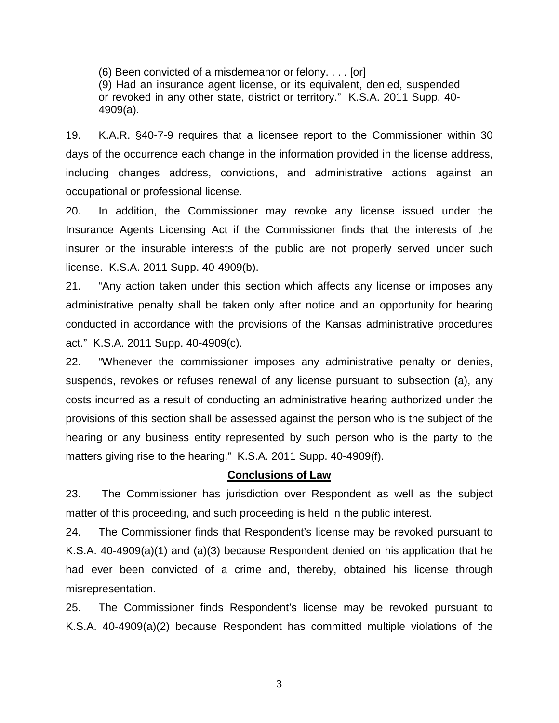(6) Been convicted of a misdemeanor or felony. . . . [or]

(9) Had an insurance agent license, or its equivalent, denied, suspended or revoked in any other state, district or territory." K.S.A. 2011 Supp. 40- 4909(a).

19. K.A.R. §40-7-9 requires that a licensee report to the Commissioner within 30 days of the occurrence each change in the information provided in the license address, including changes address, convictions, and administrative actions against an occupational or professional license.

20. In addition, the Commissioner may revoke any license issued under the Insurance Agents Licensing Act if the Commissioner finds that the interests of the insurer or the insurable interests of the public are not properly served under such license. K.S.A. 2011 Supp. 40-4909(b).

21. "Any action taken under this section which affects any license or imposes any administrative penalty shall be taken only after notice and an opportunity for hearing conducted in accordance with the provisions of the Kansas administrative procedures act." K.S.A. 2011 Supp. 40-4909(c).

22. "Whenever the commissioner imposes any administrative penalty or denies, suspends, revokes or refuses renewal of any license pursuant to subsection (a), any costs incurred as a result of conducting an administrative hearing authorized under the provisions of this section shall be assessed against the person who is the subject of the hearing or any business entity represented by such person who is the party to the matters giving rise to the hearing." K.S.A. 2011 Supp. 40-4909(f).

#### **Conclusions of Law**

23. The Commissioner has jurisdiction over Respondent as well as the subject matter of this proceeding, and such proceeding is held in the public interest.

24. The Commissioner finds that Respondent's license may be revoked pursuant to K.S.A. 40-4909(a)(1) and (a)(3) because Respondent denied on his application that he had ever been convicted of a crime and, thereby, obtained his license through misrepresentation.

25. The Commissioner finds Respondent's license may be revoked pursuant to K.S.A. 40-4909(a)(2) because Respondent has committed multiple violations of the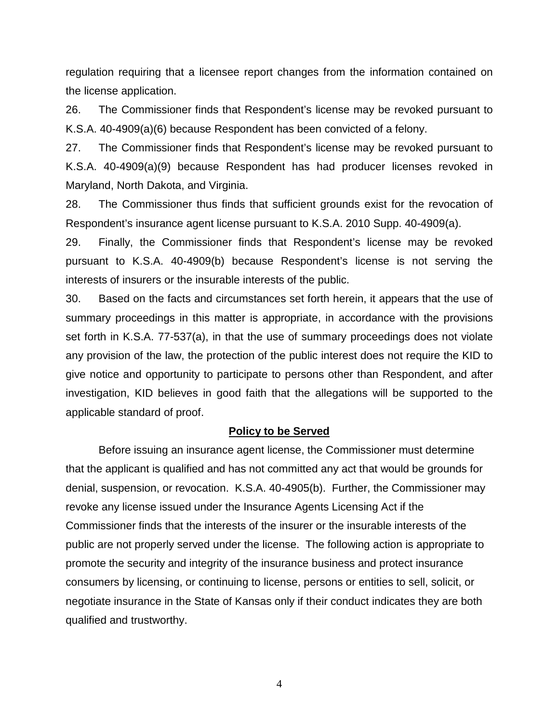regulation requiring that a licensee report changes from the information contained on the license application.

26. The Commissioner finds that Respondent's license may be revoked pursuant to K.S.A. 40-4909(a)(6) because Respondent has been convicted of a felony.

27. The Commissioner finds that Respondent's license may be revoked pursuant to K.S.A. 40-4909(a)(9) because Respondent has had producer licenses revoked in Maryland, North Dakota, and Virginia.

28. The Commissioner thus finds that sufficient grounds exist for the revocation of Respondent's insurance agent license pursuant to K.S.A. 2010 Supp. 40-4909(a).

29. Finally, the Commissioner finds that Respondent's license may be revoked pursuant to K.S.A. 40-4909(b) because Respondent's license is not serving the interests of insurers or the insurable interests of the public.

30. Based on the facts and circumstances set forth herein, it appears that the use of summary proceedings in this matter is appropriate, in accordance with the provisions set forth in K.S.A. 77-537(a), in that the use of summary proceedings does not violate any provision of the law, the protection of the public interest does not require the KID to give notice and opportunity to participate to persons other than Respondent, and after investigation, KID believes in good faith that the allegations will be supported to the applicable standard of proof.

#### **Policy to be Served**

Before issuing an insurance agent license, the Commissioner must determine that the applicant is qualified and has not committed any act that would be grounds for denial, suspension, or revocation. K.S.A. 40-4905(b). Further, the Commissioner may revoke any license issued under the Insurance Agents Licensing Act if the Commissioner finds that the interests of the insurer or the insurable interests of the public are not properly served under the license. The following action is appropriate to promote the security and integrity of the insurance business and protect insurance consumers by licensing, or continuing to license, persons or entities to sell, solicit, or negotiate insurance in the State of Kansas only if their conduct indicates they are both qualified and trustworthy.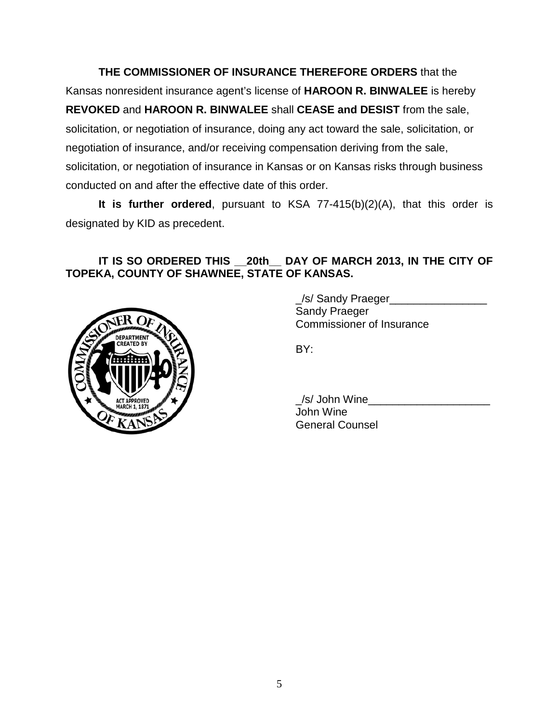**THE COMMISSIONER OF INSURANCE THEREFORE ORDERS** that the Kansas nonresident insurance agent's license of **HAROON R. BINWALEE** is hereby **REVOKED** and **HAROON R. BINWALEE** shall **CEASE and DESIST** from the sale, solicitation, or negotiation of insurance, doing any act toward the sale, solicitation, or negotiation of insurance, and/or receiving compensation deriving from the sale, solicitation, or negotiation of insurance in Kansas or on Kansas risks through business conducted on and after the effective date of this order.

**It is further ordered**, pursuant to KSA 77-415(b)(2)(A), that this order is designated by KID as precedent.

# **IT IS SO ORDERED THIS \_\_20th\_\_ DAY OF MARCH 2013, IN THE CITY OF TOPEKA, COUNTY OF SHAWNEE, STATE OF KANSAS.**



\_/s/ Sandy Praeger\_\_\_\_\_\_\_\_\_\_\_\_\_\_\_\_ Sandy Praeger Commissioner of Insurance

BY:

\_/s/ John Wine\_\_\_\_\_\_\_\_\_\_\_\_\_\_\_\_\_\_\_\_ John Wine General Counsel